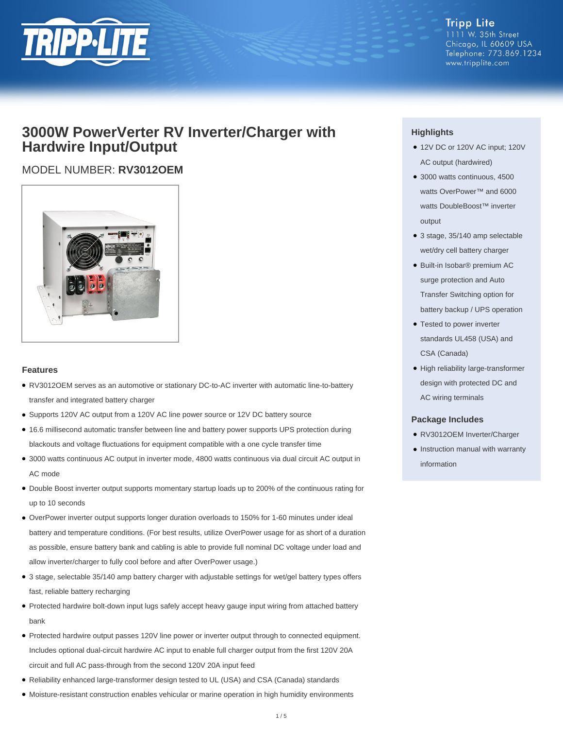

**Tripp Lite** 1111 W. 35th Street Chicago, IL 60609 USA Telephone: 773.869.1234 www.tripplite.com

## **3000W PowerVerter RV Inverter/Charger with Hardwire Input/Output**

### MODEL NUMBER: **RV3012OEM**



#### **Features**

- RV3012OEM serves as an automotive or stationary DC-to-AC inverter with automatic line-to-battery transfer and integrated battery charger
- Supports 120V AC output from a 120V AC line power source or 12V DC battery source
- 16.6 millisecond automatic transfer between line and battery power supports UPS protection during blackouts and voltage fluctuations for equipment compatible with a one cycle transfer time
- 3000 watts continuous AC output in inverter mode, 4800 watts continuous via dual circuit AC output in AC mode
- Double Boost inverter output supports momentary startup loads up to 200% of the continuous rating for up to 10 seconds
- OverPower inverter output supports longer duration overloads to 150% for 1-60 minutes under ideal battery and temperature conditions. (For best results, utilize OverPower usage for as short of a duration as possible, ensure battery bank and cabling is able to provide full nominal DC voltage under load and allow inverter/charger to fully cool before and after OverPower usage.)
- 3 stage, selectable 35/140 amp battery charger with adjustable settings for wet/gel battery types offers fast, reliable battery recharging
- Protected hardwire bolt-down input lugs safely accept heavy gauge input wiring from attached battery bank
- Protected hardwire output passes 120V line power or inverter output through to connected equipment. Includes optional dual-circuit hardwire AC input to enable full charger output from the first 120V 20A circuit and full AC pass-through from the second 120V 20A input feed
- Reliability enhanced large-transformer design tested to UL (USA) and CSA (Canada) standards
- Moisture-resistant construction enables vehicular or marine operation in high humidity environments

### **Highlights**

- 12V DC or 120V AC input; 120V AC output (hardwired)
- 3000 watts continuous, 4500 watts OverPower™ and 6000 watts DoubleBoost™ inverter output
- 3 stage, 35/140 amp selectable wet/dry cell battery charger
- Built-in Isobar® premium AC surge protection and Auto Transfer Switching option for battery backup / UPS operation
- Tested to power inverter standards UL458 (USA) and CSA (Canada)
- High reliability large-transformer design with protected DC and AC wiring terminals

#### **Package Includes**

- RV3012OEM Inverter/Charger
- Instruction manual with warranty information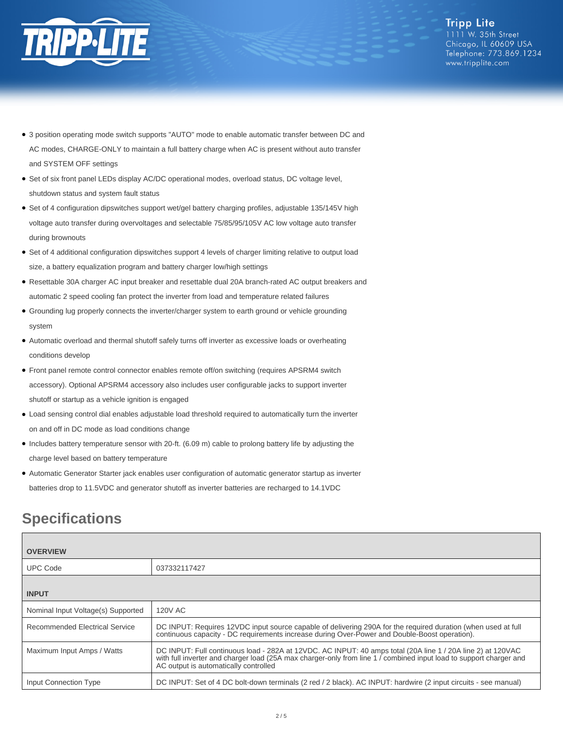

- 3 position operating mode switch supports "AUTO" mode to enable automatic transfer between DC and AC modes, CHARGE-ONLY to maintain a full battery charge when AC is present without auto transfer and SYSTEM OFF settings
- Set of six front panel LEDs display AC/DC operational modes, overload status, DC voltage level, shutdown status and system fault status
- Set of 4 configuration dipswitches support wet/gel battery charging profiles, adjustable 135/145V high voltage auto transfer during overvoltages and selectable 75/85/95/105V AC low voltage auto transfer during brownouts
- Set of 4 additional configuration dipswitches support 4 levels of charger limiting relative to output load size, a battery equalization program and battery charger low/high settings
- Resettable 30A charger AC input breaker and resettable dual 20A branch-rated AC output breakers and automatic 2 speed cooling fan protect the inverter from load and temperature related failures
- Grounding lug properly connects the inverter/charger system to earth ground or vehicle grounding system
- Automatic overload and thermal shutoff safely turns off inverter as excessive loads or overheating conditions develop
- Front panel remote control connector enables remote off/on switching (requires APSRM4 switch accessory). Optional APSRM4 accessory also includes user configurable jacks to support inverter shutoff or startup as a vehicle ignition is engaged
- Load sensing control dial enables adjustable load threshold required to automatically turn the inverter on and off in DC mode as load conditions change
- Includes battery temperature sensor with 20-ft. (6.09 m) cable to prolong battery life by adjusting the charge level based on battery temperature
- Automatic Generator Starter jack enables user configuration of automatic generator startup as inverter batteries drop to 11.5VDC and generator shutoff as inverter batteries are recharged to 14.1VDC

# **Specifications**

| <b>OVERVIEW</b>                    |                                                                                                                                                                                                                                                                            |
|------------------------------------|----------------------------------------------------------------------------------------------------------------------------------------------------------------------------------------------------------------------------------------------------------------------------|
| <b>UPC Code</b>                    | 037332117427                                                                                                                                                                                                                                                               |
| <b>INPUT</b>                       |                                                                                                                                                                                                                                                                            |
| Nominal Input Voltage(s) Supported | 120V AC                                                                                                                                                                                                                                                                    |
| Recommended Electrical Service     | DC INPUT: Requires 12VDC input source capable of delivering 290A for the required duration (when used at full<br>continuous capacity - DC requirements increase during Over-Power and Double-Boost operation).                                                             |
| Maximum Input Amps / Watts         | DC INPUT: Full continuous load - 282A at 12VDC. AC INPUT: 40 amps total (20A line 1 / 20A line 2) at 120VAC<br>with full inverter and charger load (25A max charger-only from line 1 / combined input load to support charger and<br>AC output is automatically controlled |
| Input Connection Type              | DC INPUT: Set of 4 DC bolt-down terminals (2 red / 2 black). AC INPUT: hardwire (2 input circuits - see manual)                                                                                                                                                            |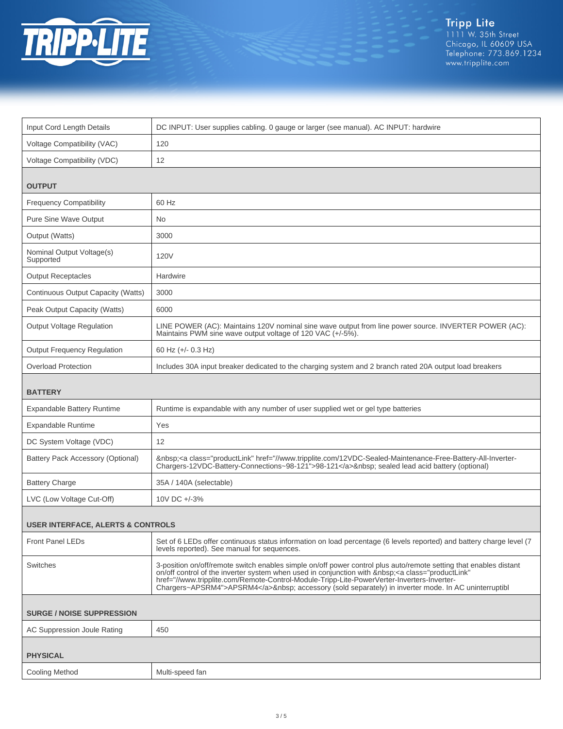

| DC INPUT: User supplies cabling. 0 gauge or larger (see manual). AC INPUT: hardwire                                                                                                                                                                                                                                                                                                                                        |  |  |
|----------------------------------------------------------------------------------------------------------------------------------------------------------------------------------------------------------------------------------------------------------------------------------------------------------------------------------------------------------------------------------------------------------------------------|--|--|
| 120                                                                                                                                                                                                                                                                                                                                                                                                                        |  |  |
| 12                                                                                                                                                                                                                                                                                                                                                                                                                         |  |  |
| <b>OUTPUT</b>                                                                                                                                                                                                                                                                                                                                                                                                              |  |  |
| 60 Hz                                                                                                                                                                                                                                                                                                                                                                                                                      |  |  |
| No                                                                                                                                                                                                                                                                                                                                                                                                                         |  |  |
| 3000                                                                                                                                                                                                                                                                                                                                                                                                                       |  |  |
| <b>120V</b>                                                                                                                                                                                                                                                                                                                                                                                                                |  |  |
| Hardwire                                                                                                                                                                                                                                                                                                                                                                                                                   |  |  |
| 3000                                                                                                                                                                                                                                                                                                                                                                                                                       |  |  |
| 6000                                                                                                                                                                                                                                                                                                                                                                                                                       |  |  |
| LINE POWER (AC): Maintains 120V nominal sine wave output from line power source. INVERTER POWER (AC):<br>Maintains PWM sine wave output voltage of 120 VAC (+/-5%).                                                                                                                                                                                                                                                        |  |  |
| 60 Hz (+/- 0.3 Hz)                                                                                                                                                                                                                                                                                                                                                                                                         |  |  |
| Includes 30A input breaker dedicated to the charging system and 2 branch rated 20A output load breakers                                                                                                                                                                                                                                                                                                                    |  |  |
|                                                                                                                                                                                                                                                                                                                                                                                                                            |  |  |
| Runtime is expandable with any number of user supplied wet or gel type batteries                                                                                                                                                                                                                                                                                                                                           |  |  |
| Yes                                                                                                                                                                                                                                                                                                                                                                                                                        |  |  |
| 12                                                                                                                                                                                                                                                                                                                                                                                                                         |  |  |
| <a class="productLink" href="//www.tripplite.com/12VDC-Sealed-Maintenance-Free-Battery-All-Inverter-&lt;br&gt;Chargers-12VDC-Battery-Connections~98-121">98-121</a> sealed lead acid battery (optional)                                                                                                                                                                                                                    |  |  |
| 35A / 140A (selectable)                                                                                                                                                                                                                                                                                                                                                                                                    |  |  |
| 10V DC +/-3%                                                                                                                                                                                                                                                                                                                                                                                                               |  |  |
| <b>USER INTERFACE, ALERTS &amp; CONTROLS</b>                                                                                                                                                                                                                                                                                                                                                                               |  |  |
| Set of 6 LEDs offer continuous status information on load percentage (6 levels reported) and battery charge level (7<br>levels reported). See manual for sequences.                                                                                                                                                                                                                                                        |  |  |
| 3-position on/off/remote switch enables simple on/off power control plus auto/remote setting that enables distant<br>on/off control of the inverter system when used in conjunction with  : <a <br="" class="productLink">href="//www.tripplite.com/Remote-Control-Module-Tripp-Lite-PowerVerter-Inverters-Inverter-<br/>Chargers~APSRM4"&gt;APSRM4</a> accessory (sold separately) in inverter mode. In AC uninterruptibl |  |  |
| <b>SURGE / NOISE SUPPRESSION</b>                                                                                                                                                                                                                                                                                                                                                                                           |  |  |
| 450                                                                                                                                                                                                                                                                                                                                                                                                                        |  |  |
|                                                                                                                                                                                                                                                                                                                                                                                                                            |  |  |
| Multi-speed fan                                                                                                                                                                                                                                                                                                                                                                                                            |  |  |
|                                                                                                                                                                                                                                                                                                                                                                                                                            |  |  |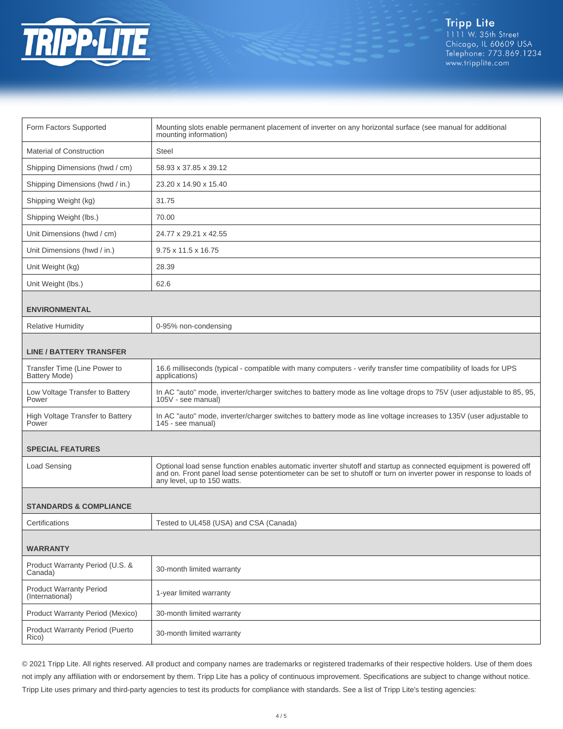

| Form Factors Supported                            | Mounting slots enable permanent placement of inverter on any horizontal surface (see manual for additional<br>mounting information)                                                                                                                                      |  |
|---------------------------------------------------|--------------------------------------------------------------------------------------------------------------------------------------------------------------------------------------------------------------------------------------------------------------------------|--|
| <b>Material of Construction</b>                   | <b>Steel</b>                                                                                                                                                                                                                                                             |  |
| Shipping Dimensions (hwd / cm)                    | 58.93 x 37.85 x 39.12                                                                                                                                                                                                                                                    |  |
| Shipping Dimensions (hwd / in.)                   | 23.20 x 14.90 x 15.40                                                                                                                                                                                                                                                    |  |
| Shipping Weight (kg)                              | 31.75                                                                                                                                                                                                                                                                    |  |
| Shipping Weight (lbs.)                            | 70.00                                                                                                                                                                                                                                                                    |  |
| Unit Dimensions (hwd / cm)                        | 24.77 x 29.21 x 42.55                                                                                                                                                                                                                                                    |  |
| Unit Dimensions (hwd / in.)                       | 9.75 x 11.5 x 16.75                                                                                                                                                                                                                                                      |  |
| Unit Weight (kg)                                  | 28.39                                                                                                                                                                                                                                                                    |  |
| Unit Weight (lbs.)                                | 62.6                                                                                                                                                                                                                                                                     |  |
| <b>ENVIRONMENTAL</b>                              |                                                                                                                                                                                                                                                                          |  |
| <b>Relative Humidity</b>                          | 0-95% non-condensing                                                                                                                                                                                                                                                     |  |
| <b>LINE / BATTERY TRANSFER</b>                    |                                                                                                                                                                                                                                                                          |  |
| Transfer Time (Line Power to<br>Battery Mode)     | 16.6 milliseconds (typical - compatible with many computers - verify transfer time compatibility of loads for UPS<br>applications)                                                                                                                                       |  |
| Low Voltage Transfer to Battery<br>Power          | In AC "auto" mode, inverter/charger switches to battery mode as line voltage drops to 75V (user adjustable to 85, 95,<br>105V - see manual)                                                                                                                              |  |
| High Voltage Transfer to Battery<br>Power         | In AC "auto" mode, inverter/charger switches to battery mode as line voltage increases to 135V (user adjustable to<br>145 - see manual)                                                                                                                                  |  |
| <b>SPECIAL FEATURES</b>                           |                                                                                                                                                                                                                                                                          |  |
| <b>Load Sensing</b>                               | Optional load sense function enables automatic inverter shutoff and startup as connected equipment is powered off<br>and on. Front panel load sense potentiometer can be set to shutoff or turn on inverter power in response to loads of<br>any level, up to 150 watts. |  |
| <b>STANDARDS &amp; COMPLIANCE</b>                 |                                                                                                                                                                                                                                                                          |  |
| Certifications                                    | Tested to UL458 (USA) and CSA (Canada)                                                                                                                                                                                                                                   |  |
| <b>WARRANTY</b>                                   |                                                                                                                                                                                                                                                                          |  |
| Product Warranty Period (U.S. &<br>Canada)        | 30-month limited warranty                                                                                                                                                                                                                                                |  |
| <b>Product Warranty Period</b><br>(International) | 1-year limited warranty                                                                                                                                                                                                                                                  |  |
| Product Warranty Period (Mexico)                  | 30-month limited warranty                                                                                                                                                                                                                                                |  |
| <b>Product Warranty Period (Puerto</b><br>Rico)   | 30-month limited warranty                                                                                                                                                                                                                                                |  |

© 2021 Tripp Lite. All rights reserved. All product and company names are trademarks or registered trademarks of their respective holders. Use of them does not imply any affiliation with or endorsement by them. Tripp Lite has a policy of continuous improvement. Specifications are subject to change without notice. Tripp Lite uses primary and third-party agencies to test its products for compliance with standards. See a list of Tripp Lite's testing agencies: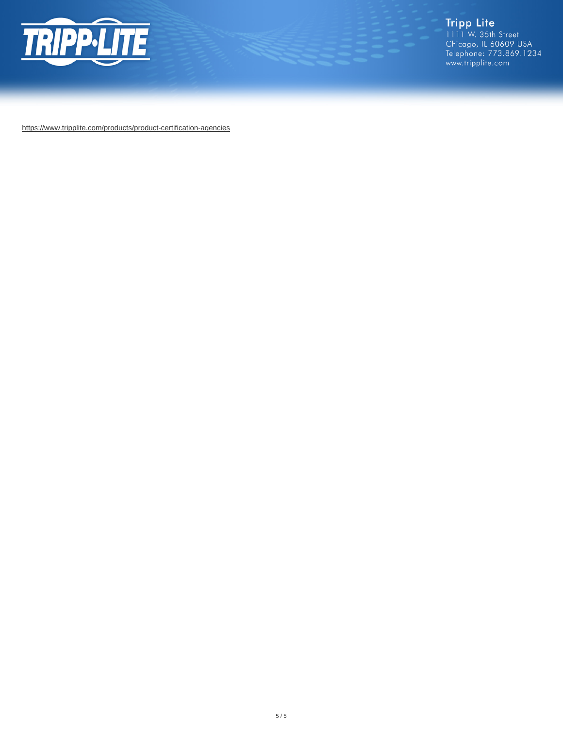

Tripp Lite<br>1111 W. 35th Street<br>Chicago, IL 60609 USA<br>Telephone: 773.869.1234<br>www.tripplite.com

<https://www.tripplite.com/products/product-certification-agencies>